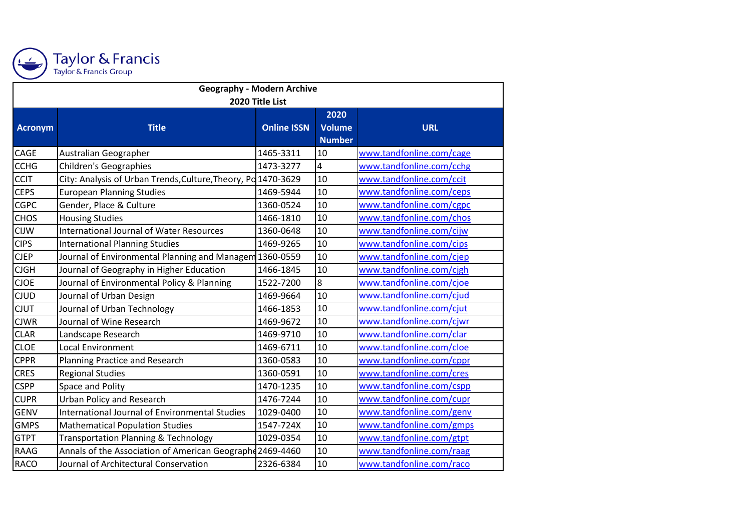

## Taylor & Francis<br>Taylor & Francis Group

| <b>Geography - Modern Archive</b> |                                                               |                    |                         |                          |  |  |  |  |
|-----------------------------------|---------------------------------------------------------------|--------------------|-------------------------|--------------------------|--|--|--|--|
| 2020 Title List                   |                                                               |                    |                         |                          |  |  |  |  |
|                                   |                                                               |                    | 2020                    |                          |  |  |  |  |
| Acronym                           | <b>Title</b>                                                  | <b>Online ISSN</b> | <b>Volume</b>           | <b>URL</b>               |  |  |  |  |
|                                   |                                                               |                    | <b>Number</b>           |                          |  |  |  |  |
| CAGE                              | Australian Geographer                                         | 1465-3311          | 10                      | www.tandfonline.com/cage |  |  |  |  |
| <b>CCHG</b>                       | <b>Children's Geographies</b>                                 | 1473-3277          | $\overline{\mathbf{4}}$ | www.tandfonline.com/cchg |  |  |  |  |
| <b>CCIT</b>                       | City: Analysis of Urban Trends, Culture, Theory, Po 1470-3629 |                    | 10                      | www.tandfonline.com/ccit |  |  |  |  |
| <b>CEPS</b>                       | <b>European Planning Studies</b>                              | 1469-5944          | 10                      | www.tandfonline.com/ceps |  |  |  |  |
| <b>CGPC</b>                       | Gender, Place & Culture                                       | 1360-0524          | 10                      | www.tandfonline.com/cgpc |  |  |  |  |
| <b>CHOS</b>                       | <b>Housing Studies</b>                                        | 1466-1810          | 10                      | www.tandfonline.com/chos |  |  |  |  |
| <b>CIJW</b>                       | <b>International Journal of Water Resources</b>               | 1360-0648          | 10                      | www.tandfonline.com/cijw |  |  |  |  |
| <b>CIPS</b>                       | <b>International Planning Studies</b>                         | 1469-9265          | 10                      | www.tandfonline.com/cips |  |  |  |  |
| <b>CJEP</b>                       | Journal of Environmental Planning and Managem 1360-0559       |                    | 10                      | www.tandfonline.com/cjep |  |  |  |  |
| <b>CJGH</b>                       | Journal of Geography in Higher Education                      | 1466-1845          | 10                      | www.tandfonline.com/cjgh |  |  |  |  |
| <b>CJOE</b>                       | Journal of Environmental Policy & Planning                    | 1522-7200          | $\overline{8}$          | www.tandfonline.com/cjoe |  |  |  |  |
| <b>CJUD</b>                       | Journal of Urban Design                                       | 1469-9664          | 10                      | www.tandfonline.com/cjud |  |  |  |  |
| <b>CJUT</b>                       | Journal of Urban Technology                                   | 1466-1853          | 10                      | www.tandfonline.com/cjut |  |  |  |  |
| <b>CJWR</b>                       | Journal of Wine Research                                      | 1469-9672          | 10                      | www.tandfonline.com/cjwr |  |  |  |  |
| <b>CLAR</b>                       | Landscape Research                                            | 1469-9710          | 10                      | www.tandfonline.com/clar |  |  |  |  |
| <b>CLOE</b>                       | <b>Local Environment</b>                                      | 1469-6711          | 10                      | www.tandfonline.com/cloe |  |  |  |  |
| <b>CPPR</b>                       | <b>Planning Practice and Research</b>                         | 1360-0583          | 10                      | www.tandfonline.com/cppr |  |  |  |  |
| <b>CRES</b>                       | <b>Regional Studies</b>                                       | 1360-0591          | 10                      | www.tandfonline.com/cres |  |  |  |  |
| <b>CSPP</b>                       | Space and Polity                                              | 1470-1235          | 10                      | www.tandfonline.com/cspp |  |  |  |  |
| <b>CUPR</b>                       | <b>Urban Policy and Research</b>                              | 1476-7244          | 10                      | www.tandfonline.com/cupr |  |  |  |  |
| <b>GENV</b>                       | International Journal of Environmental Studies                | 1029-0400          | 10                      | www.tandfonline.com/genv |  |  |  |  |
| <b>GMPS</b>                       | <b>Mathematical Population Studies</b>                        | 1547-724X          | 10                      | www.tandfonline.com/gmps |  |  |  |  |
| <b>GTPT</b>                       | <b>Transportation Planning &amp; Technology</b>               | 1029-0354          | 10                      | www.tandfonline.com/gtpt |  |  |  |  |
| <b>RAAG</b>                       | Annals of the Association of American Geographe 2469-4460     |                    | 10                      | www.tandfonline.com/raag |  |  |  |  |
| <b>RACO</b>                       | Journal of Architectural Conservation                         | 2326-6384          | 10                      | www.tandfonline.com/raco |  |  |  |  |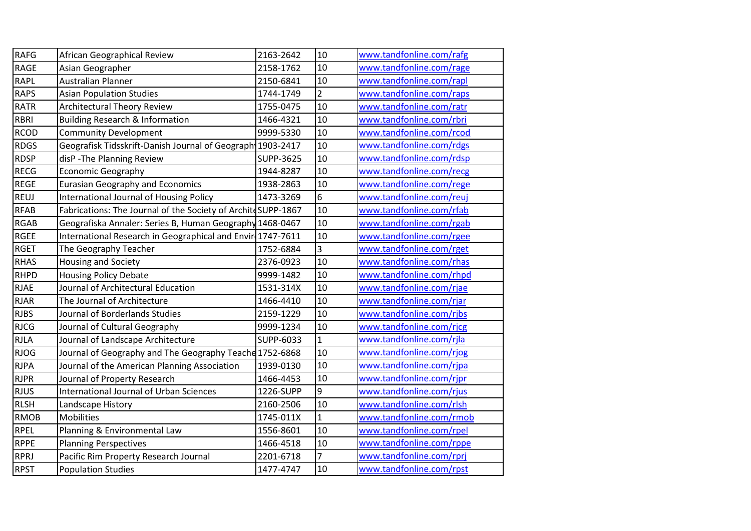| <b>RAFG</b> | African Geographical Review                                   | 2163-2642        | 10             | www.tandfonline.com/rafg |
|-------------|---------------------------------------------------------------|------------------|----------------|--------------------------|
| <b>RAGE</b> | Asian Geographer                                              | 2158-1762        | 10             | www.tandfonline.com/rage |
| <b>RAPL</b> | Australian Planner                                            | 2150-6841        | 10             | www.tandfonline.com/rapl |
| <b>RAPS</b> | <b>Asian Population Studies</b>                               | 1744-1749        | $\overline{2}$ | www.tandfonline.com/raps |
| <b>RATR</b> | <b>Architectural Theory Review</b>                            | 1755-0475        | 10             | www.tandfonline.com/ratr |
| <b>RBRI</b> | <b>Building Research &amp; Information</b>                    | 1466-4321        | 10             | www.tandfonline.com/rbri |
| <b>RCOD</b> | <b>Community Development</b>                                  | 9999-5330        | 10             | www.tandfonline.com/rcod |
| <b>RDGS</b> | Geografisk Tidsskrift-Danish Journal of Geograph 1903-2417    |                  | 10             | www.tandfonline.com/rdgs |
| <b>RDSP</b> | disP - The Planning Review                                    | <b>SUPP-3625</b> | 10             | www.tandfonline.com/rdsp |
| <b>RECG</b> | <b>Economic Geography</b>                                     | 1944-8287        | 10             | www.tandfonline.com/recg |
| <b>REGE</b> | <b>Eurasian Geography and Economics</b>                       | 1938-2863        | 10             | www.tandfonline.com/rege |
| <b>REUJ</b> | International Journal of Housing Policy                       | 1473-3269        | 6              | www.tandfonline.com/reuj |
| <b>RFAB</b> | Fabrications: The Journal of the Society of Archite SUPP-1867 |                  | 10             | www.tandfonline.com/rfab |
| <b>RGAB</b> | Geografiska Annaler: Series B, Human Geography 1468-0467      |                  | 10             | www.tandfonline.com/rgab |
| <b>RGEE</b> | International Research in Geographical and Envir 1747-7611    |                  | 10             | www.tandfonline.com/rgee |
| <b>RGET</b> | The Geography Teacher                                         | 1752-6884        | 3              | www.tandfonline.com/rget |
| <b>RHAS</b> | <b>Housing and Society</b>                                    | 2376-0923        | 10             | www.tandfonline.com/rhas |
| RHPD        | <b>Housing Policy Debate</b>                                  | 9999-1482        | 10             | www.tandfonline.com/rhpd |
| <b>RJAE</b> | Journal of Architectural Education                            | 1531-314X        | 10             | www.tandfonline.com/rjae |
| <b>RJAR</b> | The Journal of Architecture                                   | 1466-4410        | 10             | www.tandfonline.com/rjar |
| <b>RJBS</b> | Journal of Borderlands Studies                                | 2159-1229        | 10             | www.tandfonline.com/rjbs |
| <b>RJCG</b> | Journal of Cultural Geography                                 | 9999-1234        | 10             | www.tandfonline.com/rjcg |
| <b>RJLA</b> | Journal of Landscape Architecture                             | SUPP-6033        | $\mathbf{1}$   | www.tandfonline.com/rjla |
| <b>RJOG</b> | Journal of Geography and The Geography Teache 1752-6868       |                  | 10             | www.tandfonline.com/rjog |
| <b>RJPA</b> | Journal of the American Planning Association                  | 1939-0130        | 10             | www.tandfonline.com/rjpa |
| <b>RJPR</b> | Journal of Property Research                                  | 1466-4453        | 10             | www.tandfonline.com/rjpr |
| <b>RJUS</b> | <b>International Journal of Urban Sciences</b>                | 1226-SUPP        | 9              | www.tandfonline.com/rjus |
| <b>RLSH</b> | Landscape History                                             | 2160-2506        | 10             | www.tandfonline.com/rlsh |
| <b>RMOB</b> | Mobilities                                                    | 1745-011X        | $\mathbf{1}$   | www.tandfonline.com/rmob |
| <b>RPEL</b> | Planning & Environmental Law                                  | 1556-8601        | 10             | www.tandfonline.com/rpel |
| <b>RPPE</b> | <b>Planning Perspectives</b>                                  | 1466-4518        | 10             | www.tandfonline.com/rppe |
| RPRJ        | Pacific Rim Property Research Journal                         | 2201-6718        | 7              | www.tandfonline.com/rprj |
| <b>RPST</b> | <b>Population Studies</b>                                     | 1477-4747        | 10             | www.tandfonline.com/rpst |